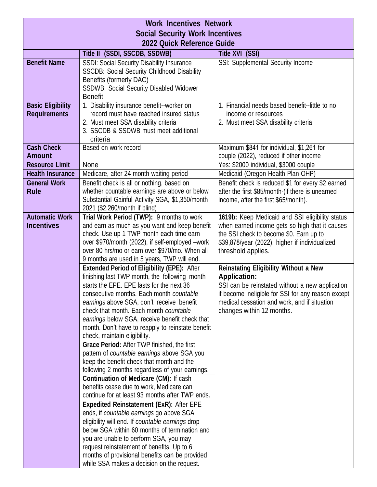| <b>Work Incentives Network</b>                                              |                                                                                                         |                                                                                                       |  |
|-----------------------------------------------------------------------------|---------------------------------------------------------------------------------------------------------|-------------------------------------------------------------------------------------------------------|--|
| <b>Social Security Work Incentives</b><br><b>2022 Quick Reference Guide</b> |                                                                                                         |                                                                                                       |  |
|                                                                             |                                                                                                         |                                                                                                       |  |
|                                                                             | Title II (SSDI, SSCDB, SSDWB)                                                                           | Title XVI (SSI)                                                                                       |  |
| <b>Benefit Name</b>                                                         | <b>SSDI: Social Security Disability Insurance</b><br><b>SSCDB: Social Security Childhood Disability</b> | SSI: Supplemental Security Income                                                                     |  |
|                                                                             | Benefits (formerly DAC)                                                                                 |                                                                                                       |  |
|                                                                             | <b>SSDWB: Social Security Disabled Widower</b>                                                          |                                                                                                       |  |
|                                                                             | <b>Benefit</b>                                                                                          |                                                                                                       |  |
| <b>Basic Eligibility</b>                                                    | 1. Disability insurance benefit--worker on                                                              | 1. Financial needs based benefit--little to no                                                        |  |
| <b>Requirements</b>                                                         | record must have reached insured status                                                                 | income or resources                                                                                   |  |
|                                                                             | 2. Must meet SSA disability criteria<br>3. SSCDB & SSDWB must meet additional                           | 2. Must meet SSA disability criteria                                                                  |  |
|                                                                             | criteria                                                                                                |                                                                                                       |  |
| <b>Cash Check</b>                                                           | Based on work record                                                                                    | Maximum \$841 for individual, \$1,261 for                                                             |  |
| <b>Amount</b>                                                               |                                                                                                         | couple (2022), reduced if other income                                                                |  |
| <b>Resource Limit</b>                                                       | None                                                                                                    | Yes: \$2000 individual, \$3000 couple                                                                 |  |
| <b>Health Insurance</b>                                                     | Medicare, after 24 month waiting period                                                                 | Medicaid (Oregon Health Plan-OHP)                                                                     |  |
| <b>General Work</b><br><b>Rule</b>                                          | Benefit check is all or nothing, based on<br>whether countable earnings are above or below              | Benefit check is reduced \$1 for every \$2 earned<br>after the first \$85/month-(if there is unearned |  |
|                                                                             | Substantial Gainful Activity-SGA, \$1,350/month                                                         | income, after the first \$65/month).                                                                  |  |
|                                                                             | 2021 (\$2,260/month if blind)                                                                           |                                                                                                       |  |
| <b>Automatic Work</b>                                                       | Trial Work Period (TWP): 9 months to work                                                               | 1619b: Keep Medicaid and SSI eligibility status                                                       |  |
| <b>Incentives</b>                                                           | and earn as much as you want and keep benefit                                                           | when earned income gets so high that it causes                                                        |  |
|                                                                             | check. Use up 1 TWP month each time earn                                                                | the SSI check to become \$0. Earn up to                                                               |  |
|                                                                             | over \$970/month (2022), if self-employed -work<br>over 80 hrs/mo or earn over \$970/mo. When all       | \$39,878/year (2022), higher if individualized<br>threshold applies.                                  |  |
|                                                                             | 9 months are used in 5 years, TWP will end.                                                             |                                                                                                       |  |
|                                                                             | <b>Extended Period of Eligibility (EPE): After</b>                                                      | <b>Reinstating Eligibility Without a New</b>                                                          |  |
|                                                                             | finishing last TWP month, the following month                                                           | <b>Application:</b>                                                                                   |  |
|                                                                             | starts the EPE. EPE lasts for the next 36                                                               | SSI can be reinstated without a new application                                                       |  |
|                                                                             | consecutive months. Each month countable                                                                | if become ineligible for SSI for any reason except                                                    |  |
|                                                                             | earnings above SGA, don't receive benefit<br>check that month. Each month countable                     | medical cessation and work, and if situation<br>changes within 12 months.                             |  |
|                                                                             | earnings below SGA, receive benefit check that                                                          |                                                                                                       |  |
|                                                                             | month. Don't have to reapply to reinstate benefit                                                       |                                                                                                       |  |
|                                                                             | check, maintain eligibility.                                                                            |                                                                                                       |  |
|                                                                             | Grace Period: After TWP finished, the first                                                             |                                                                                                       |  |
|                                                                             | pattern of countable earnings above SGA you                                                             |                                                                                                       |  |
|                                                                             | keep the benefit check that month and the<br>following 2 months regardless of your earnings.            |                                                                                                       |  |
|                                                                             | Continuation of Medicare (CM): If cash                                                                  |                                                                                                       |  |
|                                                                             | benefits cease due to work, Medicare can                                                                |                                                                                                       |  |
|                                                                             | continue for at least 93 months after TWP ends.                                                         |                                                                                                       |  |
|                                                                             | <b>Expedited Reinstatement (ExR): After EPE</b>                                                         |                                                                                                       |  |
|                                                                             | ends, if countable earnings go above SGA                                                                |                                                                                                       |  |
|                                                                             | eligibility will end. If countable earnings drop                                                        |                                                                                                       |  |
|                                                                             | below SGA within 60 months of termination and                                                           |                                                                                                       |  |
|                                                                             | you are unable to perform SGA, you may<br>request reinstatement of benefits. Up to 6                    |                                                                                                       |  |
|                                                                             | months of provisional benefits can be provided                                                          |                                                                                                       |  |
|                                                                             | while SSA makes a decision on the request.                                                              |                                                                                                       |  |